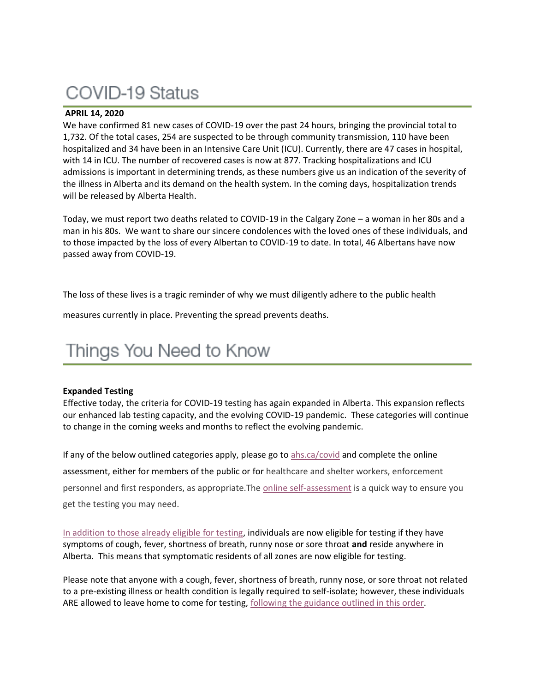# COVID-19 Status

## **APRIL 14, 2020**

We have confirmed 81 new cases of COVID-19 over the past 24 hours, bringing the provincial total to 1,732. Of the total cases, 254 are suspected to be through community transmission, 110 have been hospitalized and 34 have been in an Intensive Care Unit (ICU). Currently, there are 47 cases in hospital, with 14 in ICU. The number of recovered cases is now at 877. Tracking hospitalizations and ICU admissions is important in determining trends, as these numbers give us an indication of the severity of the illness in Alberta and its demand on the health system. In the coming days, hospitalization trends will be released by Alberta Health.

Today, we must report two deaths related to COVID-19 in the Calgary Zone – a woman in her 80s and a man in his 80s. We want to share our sincere condolences with the loved ones of these individuals, and to those impacted by the loss of every Albertan to COVID-19 to date. In total, 46 Albertans have now passed away from COVID-19.

The loss of these lives is a tragic reminder of why we must diligently adhere to the public health

measures currently in place. Preventing the spread prevents deaths.

## Things You Need to Know

## **Expanded Testing**

Effective today, the criteria for COVID-19 testing has again expanded in Alberta. This expansion reflects our enhanced lab testing capacity, and the evolving COVID-19 pandemic. These categories will continue to change in the coming weeks and months to reflect the evolving pandemic.

If any of the below outlined categories apply, please go to  $\frac{abs.ca/covid}$  and complete the online assessment, either for members of the public or for healthcare and shelter workers, enforcement personnel and first responders, as appropriate.The [online self-assessment](https://www.albertahealthservices.ca/topics/Page17058.aspx) is a quick way to ensure you get the testing you may need.

[In addition to those already eligible for testing,](https://www.albertahealthservices.ca/topics/Page17058.aspx) individuals are now eligible for testing if they have symptoms of cough, fever, shortness of breath, runny nose or sore throat **and** reside anywhere in Alberta. This means that symptomatic residents of all zones are now eligible for testing.

Please note that anyone with a cough, fever, shortness of breath, runny nose, or sore throat not related to a pre-existing illness or health condition is legally required to self-isolate; however, these individuals ARE allowed to leave home to come for testing, [following the guidance outlined in this order.](https://open.alberta.ca/dataset/d703fd54-ee23-4b53-bd4b-480cdbfdd851/resource/e853cc79-b3cd-4d31-86cf-c2dfb634904a/download/health-cmoh-exemption-isolated-persons-needing-testingcovid-19-2020-04-01.pdf)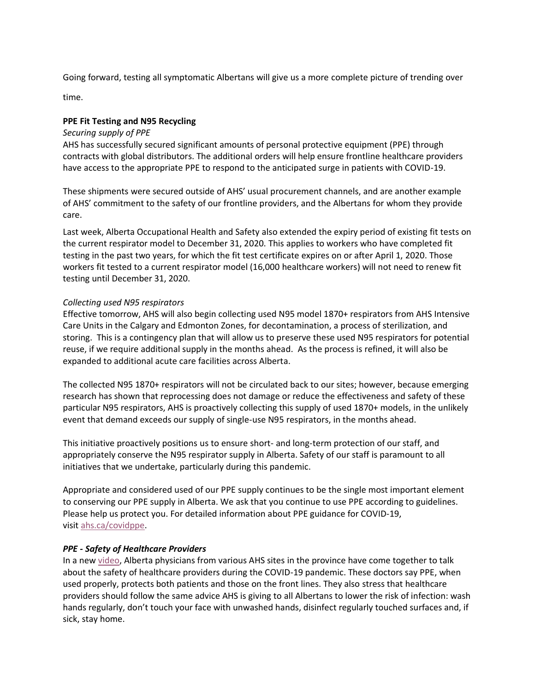Going forward, testing all symptomatic Albertans will give us a more complete picture of trending over

time.

## **PPE Fit Testing and N95 Recycling**

#### *Securing supply of PPE*

AHS has successfully secured significant amounts of personal protective equipment (PPE) through contracts with global distributors. The additional orders will help ensure frontline healthcare providers have access to the appropriate PPE to respond to the anticipated surge in patients with COVID-19.

These shipments were secured outside of AHS' usual procurement channels, and are another example of AHS' commitment to the safety of our frontline providers, and the Albertans for whom they provide care.

Last week, Alberta Occupational Health and Safety also extended the expiry period of existing fit tests on the current respirator model to December 31, 2020. This applies to workers who have completed fit testing in the past two years, for which the fit test certificate expires on or after April 1, 2020. Those workers fit tested to a current respirator model (16,000 healthcare workers) will not need to renew fit testing until December 31, 2020.

## *Collecting used N95 respirators*

Effective tomorrow, AHS will also begin collecting used N95 model 1870+ respirators from AHS Intensive Care Units in the Calgary and Edmonton Zones, for decontamination, a process of sterilization, and storing. This is a contingency plan that will allow us to preserve these used N95 respirators for potential reuse, if we require additional supply in the months ahead. As the process is refined, it will also be expanded to additional acute care facilities across Alberta.

The collected N95 1870+ respirators will not be circulated back to our sites; however, because emerging research has shown that reprocessing does not damage or reduce the effectiveness and safety of these particular N95 respirators, AHS is proactively collecting this supply of used 1870+ models, in the unlikely event that demand exceeds our supply of single-use N95 respirators, in the months ahead.

This initiative proactively positions us to ensure short- and long-term protection of our staff, and appropriately conserve the N95 respirator supply in Alberta. Safety of our staff is paramount to all initiatives that we undertake, particularly during this pandemic.

Appropriate and considered used of our PPE supply continues to be the single most important element to conserving our PPE supply in Alberta. We ask that you continue to use PPE according to guidelines. Please help us protect you. For detailed information about PPE guidance for COVID-19, visit [ahs.ca/covidppe.](http://www.ahs.ca/covidppe)

## *PPE - Safety of Healthcare Providers*

In a new [video,](https://www.albertahealthservices.ca/topics/Page17079.aspx) Alberta physicians from various AHS sites in the province have come together to talk about the safety of healthcare providers during the COVID-19 pandemic. These doctors say PPE, when used properly, protects both patients and those on the front lines. They also stress that healthcare providers should follow the same advice AHS is giving to all Albertans to lower the risk of infection: wash hands regularly, don't touch your face with unwashed hands, disinfect regularly touched surfaces and, if sick, stay home.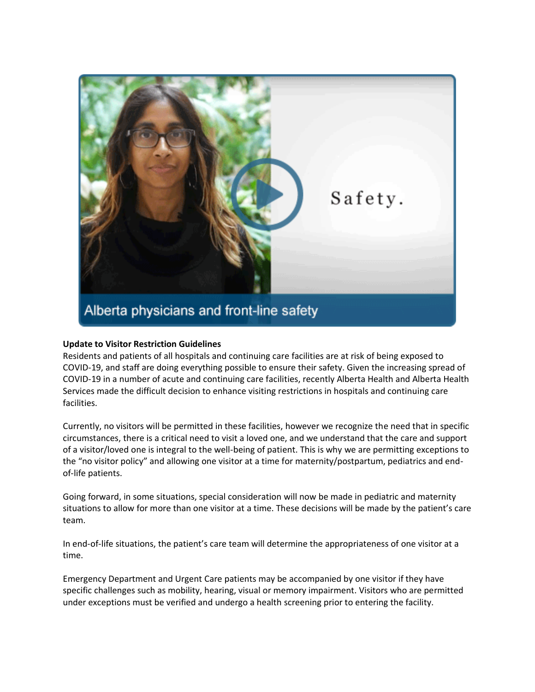

## **Update to Visitor Restriction Guidelines**

Residents and patients of all hospitals and continuing care facilities are at risk of being exposed to COVID-19, and staff are doing everything possible to ensure their safety. Given the increasing spread of COVID-19 in a number of acute and continuing care facilities, recently Alberta Health and Alberta Health Services made the difficult decision to enhance visiting restrictions in hospitals and continuing care facilities.

Currently, no visitors will be permitted in these facilities, however we recognize the need that in specific circumstances, there is a critical need to visit a loved one, and we understand that the care and support of a visitor/loved one is integral to the well-being of patient. This is why we are permitting exceptions to the "no visitor policy" and allowing one visitor at a time for maternity/postpartum, pediatrics and endof-life patients.

Going forward, in some situations, special consideration will now be made in pediatric and maternity situations to allow for more than one visitor at a time. These decisions will be made by the patient's care team.

In end-of-life situations, the patient's care team will determine the appropriateness of one visitor at a time.

Emergency Department and Urgent Care patients may be accompanied by one visitor if they have specific challenges such as mobility, hearing, visual or memory impairment. Visitors who are permitted under exceptions must be verified and undergo a health screening prior to entering the facility.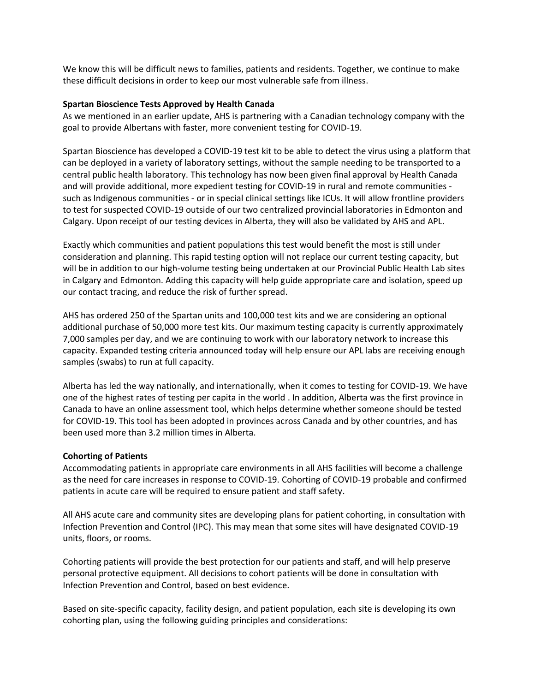We know this will be difficult news to families, patients and residents. Together, we continue to make these difficult decisions in order to keep our most vulnerable safe from illness.

#### **Spartan Bioscience Tests Approved by Health Canada**

As we mentioned in an earlier update, AHS is partnering with a Canadian technology company with the goal to provide Albertans with faster, more convenient testing for COVID-19.

Spartan Bioscience has developed a COVID-19 test kit to be able to detect the virus using a platform that can be deployed in a variety of laboratory settings, without the sample needing to be transported to a central public health laboratory. This technology has now been given final approval by Health Canada and will provide additional, more expedient testing for COVID-19 in rural and remote communities such as Indigenous communities - or in special clinical settings like ICUs. It will allow frontline providers to test for suspected COVID-19 outside of our two centralized provincial laboratories in Edmonton and Calgary. Upon receipt of our testing devices in Alberta, they will also be validated by AHS and APL.

Exactly which communities and patient populations this test would benefit the most is still under consideration and planning. This rapid testing option will not replace our current testing capacity, but will be in addition to our high-volume testing being undertaken at our Provincial Public Health Lab sites in Calgary and Edmonton. Adding this capacity will help guide appropriate care and isolation, speed up our contact tracing, and reduce the risk of further spread.

AHS has ordered 250 of the Spartan units and 100,000 test kits and we are considering an optional additional purchase of 50,000 more test kits. Our maximum testing capacity is currently approximately 7,000 samples per day, and we are continuing to work with our laboratory network to increase this capacity. Expanded testing criteria announced today will help ensure our APL labs are receiving enough samples (swabs) to run at full capacity.

Alberta has led the way nationally, and internationally, when it comes to testing for COVID-19. We have one of the highest rates of testing per capita in the world . In addition, Alberta was the first province in Canada to have an online assessment tool, which helps determine whether someone should be tested for COVID-19. This tool has been adopted in provinces across Canada and by other countries, and has been used more than 3.2 million times in Alberta.

## **Cohorting of Patients**

Accommodating patients in appropriate care environments in all AHS facilities will become a challenge as the need for care increases in response to COVID-19. Cohorting of COVID-19 probable and confirmed patients in acute care will be required to ensure patient and staff safety.

All AHS acute care and community sites are developing plans for patient cohorting, in consultation with Infection Prevention and Control (IPC). This may mean that some sites will have designated COVID-19 units, floors, or rooms.

Cohorting patients will provide the best protection for our patients and staff, and will help preserve personal protective equipment. All decisions to cohort patients will be done in consultation with Infection Prevention and Control, based on best evidence.

Based on site-specific capacity, facility design, and patient population, each site is developing its own cohorting plan, using the following guiding principles and considerations: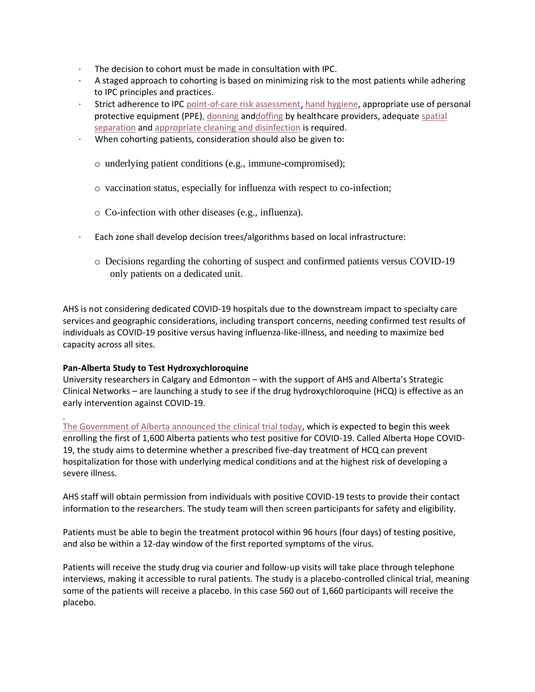- The decision to cohort must be made in consultation with IPC.
- · A staged approach to cohorting is based on minimizing risk to the most patients while adhering to IPC principles and practices.
- Strict adherence to IPC [point-of-care risk assessment,](http://www.ahsweb.ca/ipc/pcra-routine-practices-z0-rp-ac) [hand hygiene,](https://www.albertahealthservices.ca/info/Page6426.aspx) appropriate use of personal protective equipment (PPE), [donning](http://www.ahsweb.ca/ipc/hh-doffing-ppe-z0-poster) an[ddoffing](http://www.ahsweb.ca/ipc/hh-doffing-ppe-z0-poster) by healthcare providers, adequate [spatial](http://www.ahsweb.ca/ipc/bpg-spatial-separation-summary-recommendations-z0-bpr-pt-care)  [separation](http://www.ahsweb.ca/ipc/bpg-spatial-separation-summary-recommendations-z0-bpr-pt-care) and [appropriate cleaning and disinfection](http://www.ahsweb.ca/ipc/bpg-enviro-cleaning-disinfection-z0-bpr-eqpt-clean) is required.
- · When cohorting patients, consideration should also be given to:
	- o underlying patient conditions (e.g., immune-compromised);
	- o vaccination status, especially for influenza with respect to co-infection;
	- o Co-infection with other diseases (e.g., influenza).
- · Each zone shall develop decision trees/algorithms based on local infrastructure:
	- o Decisions regarding the cohorting of suspect and confirmed patients versus COVID-19 only patients on a dedicated unit.

AHS is not considering dedicated COVID-19 hospitals due to the downstream impact to specialty care services and geographic considerations, including transport concerns, needing confirmed test results of individuals as COVID-19 positive versus having influenza-like-illness, and needing to maximize bed capacity across all sites.

## **Pan-Alberta Study to Test Hydroxychloroquine**

University researchers in Calgary and Edmonton – with the support of AHS and Alberta's Strategic Clinical Networks – are launching a study to see if the drug hydroxychloroquine (HCQ) is effective as an early intervention against COVID-19.

[The Government of Alberta announced the clinical trial today,](https://www.alberta.ca/release.cfm?xID=700798ED9BDBB-A1F4-8BC9-CD08C285867CCD28) which is expected to begin this week enrolling the first of 1,600 Alberta patients who test positive for COVID-19. Called Alberta Hope COVID-19, the study aims to determine whether a prescribed five-day treatment of HCQ can prevent hospitalization for those with underlying medical conditions and at the highest risk of developing a severe illness.

AHS staff will obtain permission from individuals with positive COVID-19 tests to provide their contact information to the researchers. The study team will then screen participants for safety and eligibility.

Patients must be able to begin the treatment protocol within 96 hours (four days) of testing positive, and also be within a 12-day window of the first reported symptoms of the virus.

Patients will receive the study drug via courier and follow-up visits will take place through telephone interviews, making it accessible to rural patients. The study is a placebo-controlled clinical trial, meaning some of the patients will receive a placebo. In this case 560 out of 1,660 participants will receive the placebo.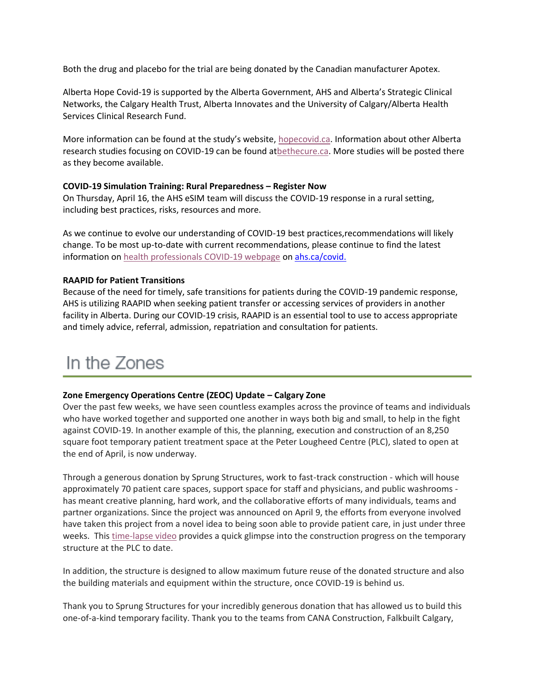Both the drug and placebo for the trial are being donated by the Canadian manufacturer Apotex.

Alberta Hope Covid-19 is supported by the Alberta Government, AHS and Alberta's Strategic Clinical Networks, the Calgary Health Trust, Alberta Innovates and the University of Calgary/Alberta Health Services Clinical Research Fund.

More information can be found at the study's website, [hopecovid.ca.](http://www.hopecovid.ca/) Information about other Alberta research studies focusing on COVID-19 can be found a[tbethecure.ca.](http://www.bethecure.ca/) More studies will be posted there as they become available.

#### **COVID-19 Simulation Training: Rural Preparedness – Register Now**

On Thursday, April 16, the AHS eSIM team will discuss the COVID-19 response in a rural setting, including best practices, risks, resources and more.

As we continue to evolve our understanding of COVID-19 best practices,recommendations will likely change. To be most up-to-date with current recommendations, please continue to find the latest information on [health professionals COVID-19 webpage](https://www.albertahealthservices.ca/topics/Page16947.aspx) on [ahs.ca/covid.](https://www.albertahealthservices.ca/topics/Page16947.aspx)

#### **RAAPID for Patient Transitions**

Because of the need for timely, safe transitions for patients during the COVID-19 pandemic response, AHS is utilizing RAAPID when seeking patient transfer or accessing services of providers in another facility in Alberta. During our COVID-19 crisis, RAAPID is an essential tool to use to access appropriate and timely advice, referral, admission, repatriation and consultation for patients.

## In the Zones

#### **Zone Emergency Operations Centre (ZEOC) Update – Calgary Zone**

Over the past few weeks, we have seen countless examples across the province of teams and individuals who have worked together and supported one another in ways both big and small, to help in the fight against COVID-19. In another example of this, the planning, execution and construction of an 8,250 square foot temporary patient treatment space at the Peter Lougheed Centre (PLC), slated to open at the end of April, is now underway.

Through a generous donation by Sprung Structures, work to fast-track construction - which will house approximately 70 patient care spaces, support space for staff and physicians, and public washrooms has meant creative planning, hard work, and the collaborative efforts of many individuals, teams and partner organizations. Since the project was announced on April 9, the efforts from everyone involved have taken this project from a novel idea to being soon able to provide patient care, in just under three weeks. This [time-lapse video](https://www.albertahealthservices.ca/topics/Page17080.aspx) provides a quick glimpse into the construction progress on the temporary structure at the PLC to date.

In addition, the structure is designed to allow maximum future reuse of the donated structure and also the building materials and equipment within the structure, once COVID-19 is behind us.

Thank you to Sprung Structures for your incredibly generous donation that has allowed us to build this one-of-a-kind temporary facility. Thank you to the teams from CANA Construction, Falkbuilt Calgary,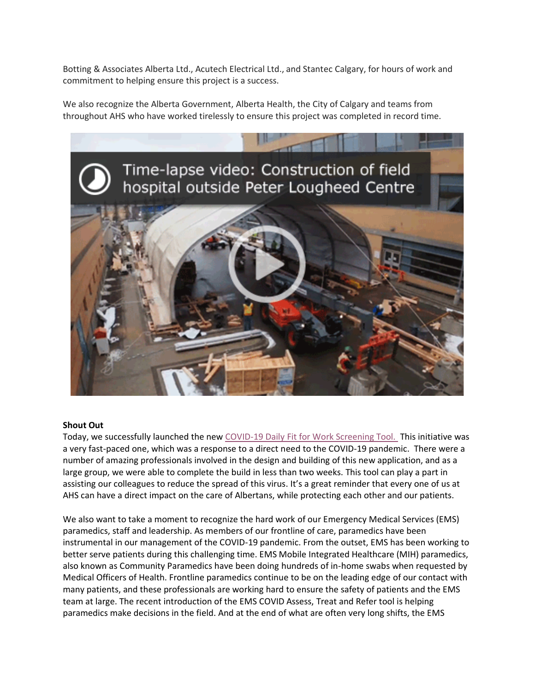Botting & Associates Alberta Ltd., Acutech Electrical Ltd., and Stantec Calgary, for hours of work and commitment to helping ensure this project is a success.

We also recognize the Alberta Government, Alberta Health, the City of Calgary and teams from throughout AHS who have worked tirelessly to ensure this project was completed in record time.



#### **Shout Out**

Today, we successfully launched the new [COVID-19 Daily Fit for Work Screening Tool.](https://www.albertahealthservices.ca/assets/info/ppih/if-ppih-covid-19-daily-fitness-for-work-screening-protocols.pdf) This initiative was a very fast-paced one, which was a response to a direct need to the COVID-19 pandemic. There were a number of amazing professionals involved in the design and building of this new application, and as a large group, we were able to complete the build in less than two weeks. This tool can play a part in assisting our colleagues to reduce the spread of this virus. It's a great reminder that every one of us at AHS can have a direct impact on the care of Albertans, while protecting each other and our patients.

We also want to take a moment to recognize the hard work of our Emergency Medical Services (EMS) paramedics, staff and leadership. As members of our frontline of care, paramedics have been instrumental in our management of the COVID-19 pandemic. From the outset, EMS has been working to better serve patients during this challenging time. EMS Mobile Integrated Healthcare (MIH) paramedics, also known as Community Paramedics have been doing hundreds of in-home swabs when requested by Medical Officers of Health. Frontline paramedics continue to be on the leading edge of our contact with many patients, and these professionals are working hard to ensure the safety of patients and the EMS team at large. The recent introduction of the EMS COVID Assess, Treat and Refer tool is helping paramedics make decisions in the field. And at the end of what are often very long shifts, the EMS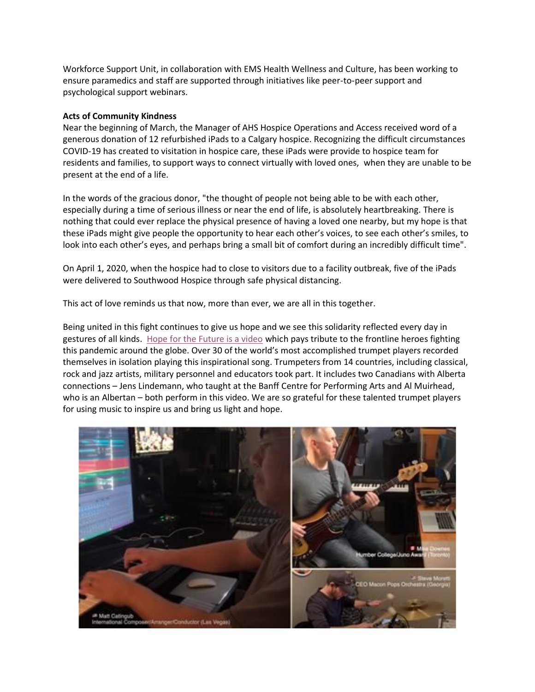Workforce Support Unit, in collaboration with EMS Health Wellness and Culture, has been working to ensure paramedics and staff are supported through initiatives like peer-to-peer support and psychological support webinars.

#### **Acts of Community Kindness**

Near the beginning of March, the Manager of AHS Hospice Operations and Access received word of a generous donation of 12 refurbished iPads to a Calgary hospice. Recognizing the difficult circumstances COVID-19 has created to visitation in hospice care, these iPads were provide to hospice team for residents and families, to support ways to connect virtually with loved ones, when they are unable to be present at the end of a life.

In the words of the gracious donor, "the thought of people not being able to be with each other, especially during a time of serious illness or near the end of life, is absolutely heartbreaking. There is nothing that could ever replace the physical presence of having a loved one nearby, but my hope is that these iPads might give people the opportunity to hear each other's voices, to see each other's smiles, to look into each other's eyes, and perhaps bring a small bit of comfort during an incredibly difficult time".

On April 1, 2020, when the hospice had to close to visitors due to a facility outbreak, five of the iPads were delivered to Southwood Hospice through safe physical distancing.

This act of love reminds us that now, more than ever, we are all in this together.

Being united in this fight continues to give us hope and we see this solidarity reflected every day in gestures of all kinds. [Hope for the Future is a video](https://www.youtube.com/watch?v=eR_7P5_7kh4&feature=youtu.be) which pays tribute to the frontline heroes fighting this pandemic around the globe. Over 30 of the world's most accomplished trumpet players recorded themselves in isolation playing this inspirational song. Trumpeters from 14 countries, including classical, rock and jazz artists, military personnel and educators took part. It includes two Canadians with Alberta connections – Jens Lindemann, who taught at the Banff Centre for Performing Arts and Al Muirhead, who is an Albertan – both perform in this video. We are so grateful for these talented trumpet players for using music to inspire us and bring us light and hope.